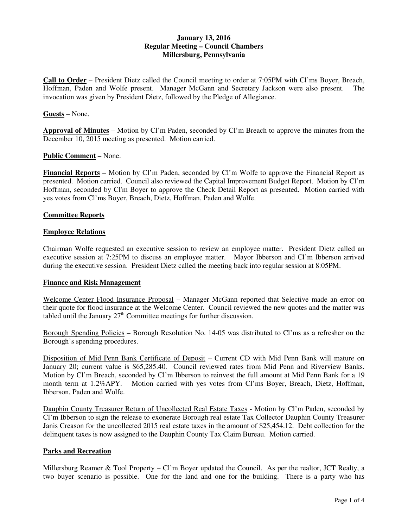## **January 13, 2016 Regular Meeting – Council Chambers Millersburg, Pennsylvania**

**Call to Order** – President Dietz called the Council meeting to order at 7:05PM with Cl'ms Boyer, Breach, Hoffman, Paden and Wolfe present. Manager McGann and Secretary Jackson were also present. The invocation was given by President Dietz, followed by the Pledge of Allegiance.

### **Guests** – None.

**Approval of Minutes** – Motion by Cl'm Paden, seconded by Cl'm Breach to approve the minutes from the December 10, 2015 meeting as presented. Motion carried.

### **Public Comment** – None.

**Financial Reports** – Motion by Cl'm Paden, seconded by Cl'm Wolfe to approve the Financial Report as presented. Motion carried. Council also reviewed the Capital Improvement Budget Report. Motion by Cl'm Hoffman, seconded by Cl'm Boyer to approve the Check Detail Report as presented. Motion carried with yes votes from Cl'ms Boyer, Breach, Dietz, Hoffman, Paden and Wolfe.

### **Committee Reports**

### **Employee Relations**

Chairman Wolfe requested an executive session to review an employee matter. President Dietz called an executive session at 7:25PM to discuss an employee matter. Mayor Ibberson and Cl'm Ibberson arrived during the executive session. President Dietz called the meeting back into regular session at 8:05PM.

#### **Finance and Risk Management**

Welcome Center Flood Insurance Proposal – Manager McGann reported that Selective made an error on their quote for flood insurance at the Welcome Center. Council reviewed the new quotes and the matter was tabled until the January  $27<sup>th</sup>$  Committee meetings for further discussion.

Borough Spending Policies – Borough Resolution No. 14-05 was distributed to Cl'ms as a refresher on the Borough's spending procedures.

Disposition of Mid Penn Bank Certificate of Deposit – Current CD with Mid Penn Bank will mature on January 20; current value is \$65,285.40. Council reviewed rates from Mid Penn and Riverview Banks. Motion by Cl'm Breach, seconded by Cl'm Ibberson to reinvest the full amount at Mid Penn Bank for a 19 month term at 1.2%APY. Motion carried with yes votes from Cl'ms Boyer, Breach, Dietz, Hoffman, Ibberson, Paden and Wolfe.

Dauphin County Treasurer Return of Uncollected Real Estate Taxes - Motion by Cl'm Paden, seconded by Cl'm Ibberson to sign the release to exonerate Borough real estate Tax Collector Dauphin County Treasurer Janis Creason for the uncollected 2015 real estate taxes in the amount of \$25,454.12. Debt collection for the delinquent taxes is now assigned to the Dauphin County Tax Claim Bureau. Motion carried.

### **Parks and Recreation**

Millersburg Reamer & Tool Property – Cl'm Boyer updated the Council. As per the realtor, JCT Realty, a two buyer scenario is possible. One for the land and one for the building. There is a party who has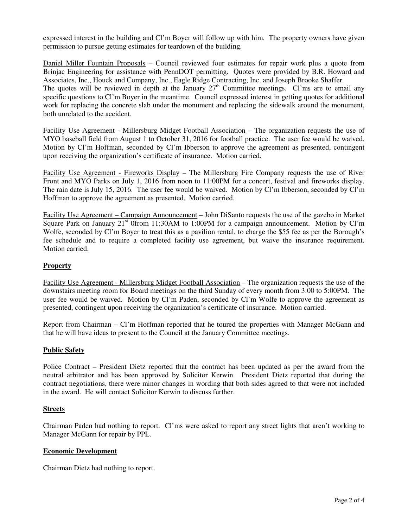expressed interest in the building and Cl'm Boyer will follow up with him. The property owners have given permission to pursue getting estimates for teardown of the building.

Daniel Miller Fountain Proposals – Council reviewed four estimates for repair work plus a quote from Brinjac Engineering for assistance with PennDOT permitting. Quotes were provided by B.R. Howard and Associates, Inc., Houck and Company, Inc., Eagle Ridge Contracting, Inc. and Joseph Brooke Shaffer. The quotes will be reviewed in depth at the January  $27<sup>th</sup>$  Committee meetings. Cl'ms are to email any specific questions to Cl'm Boyer in the meantime. Council expressed interest in getting quotes for additional work for replacing the concrete slab under the monument and replacing the sidewalk around the monument, both unrelated to the accident.

Facility Use Agreement - Millersburg Midget Football Association – The organization requests the use of MYO baseball field from August 1 to October 31, 2016 for football practice. The user fee would be waived. Motion by Cl'm Hoffman, seconded by Cl'm Ibberson to approve the agreement as presented, contingent upon receiving the organization's certificate of insurance. Motion carried.

Facility Use Agreement - Fireworks Display – The Millersburg Fire Company requests the use of River Front and MYO Parks on July 1, 2016 from noon to 11:00PM for a concert, festival and fireworks display. The rain date is July 15, 2016. The user fee would be waived. Motion by Cl'm Ibberson, seconded by Cl'm Hoffman to approve the agreement as presented. Motion carried.

Facility Use Agreement – Campaign Announcement – John DiSanto requests the use of the gazebo in Market Square Park on January  $21<sup>st</sup>$  0from 11:30AM to 1:00PM for a campaign announcement. Motion by Cl'm Wolfe, seconded by Cl'm Boyer to treat this as a pavilion rental, to charge the \$55 fee as per the Borough's fee schedule and to require a completed facility use agreement, but waive the insurance requirement. Motion carried.

# **Property**

Facility Use Agreement - Millersburg Midget Football Association – The organization requests the use of the downstairs meeting room for Board meetings on the third Sunday of every month from 3:00 to 5:00PM. The user fee would be waived. Motion by Cl'm Paden, seconded by Cl'm Wolfe to approve the agreement as presented, contingent upon receiving the organization's certificate of insurance. Motion carried.

Report from Chairman – Cl'm Hoffman reported that he toured the properties with Manager McGann and that he will have ideas to present to the Council at the January Committee meetings.

## **Public Safety**

Police Contract – President Dietz reported that the contract has been updated as per the award from the neutral arbitrator and has been approved by Solicitor Kerwin. President Dietz reported that during the contract negotiations, there were minor changes in wording that both sides agreed to that were not included in the award. He will contact Solicitor Kerwin to discuss further.

## **Streets**

Chairman Paden had nothing to report. Cl'ms were asked to report any street lights that aren't working to Manager McGann for repair by PPL.

### **Economic Development**

Chairman Dietz had nothing to report.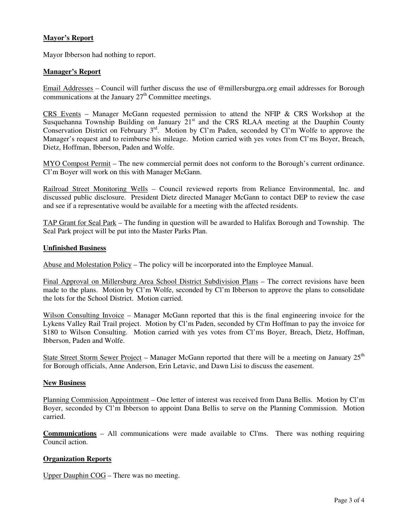## **Mayor's Report**

Mayor Ibberson had nothing to report.

## **Manager's Report**

Email Addresses – Council will further discuss the use of @millersburgpa.org email addresses for Borough communications at the January  $27<sup>th</sup>$  Committee meetings.

CRS Events – Manager McGann requested permission to attend the NFIP & CRS Workshop at the Susquehanna Township Building on January  $21<sup>st</sup>$  and the CRS RLAA meeting at the Dauphin County Conservation District on February 3<sup>rd</sup>. Motion by Cl'm Paden, seconded by Cl'm Wolfe to approve the Manager's request and to reimburse his mileage. Motion carried with yes votes from Cl'ms Boyer, Breach, Dietz, Hoffman, Ibberson, Paden and Wolfe.

MYO Compost Permit – The new commercial permit does not conform to the Borough's current ordinance. Cl'm Boyer will work on this with Manager McGann.

Railroad Street Monitoring Wells – Council reviewed reports from Reliance Environmental, Inc. and discussed public disclosure. President Dietz directed Manager McGann to contact DEP to review the case and see if a representative would be available for a meeting with the affected residents.

TAP Grant for Seal Park – The funding in question will be awarded to Halifax Borough and Township. The Seal Park project will be put into the Master Parks Plan.

#### **Unfinished Business**

Abuse and Molestation Policy – The policy will be incorporated into the Employee Manual.

Final Approval on Millersburg Area School District Subdivision Plans – The correct revisions have been made to the plans. Motion by Cl'm Wolfe, seconded by Cl'm Ibberson to approve the plans to consolidate the lots for the School District. Motion carried.

Wilson Consulting Invoice – Manager McGann reported that this is the final engineering invoice for the Lykens Valley Rail Trail project. Motion by Cl'm Paden, seconded by Cl'm Hoffman to pay the invoice for \$180 to Wilson Consulting. Motion carried with yes votes from Cl'ms Boyer, Breach, Dietz, Hoffman, Ibberson, Paden and Wolfe.

State Street Storm Sewer Project – Manager McGann reported that there will be a meeting on January  $25<sup>th</sup>$ for Borough officials, Anne Anderson, Erin Letavic, and Dawn Lisi to discuss the easement.

#### **New Business**

Planning Commission Appointment – One letter of interest was received from Dana Bellis. Motion by Cl'm Boyer, seconded by Cl'm Ibberson to appoint Dana Bellis to serve on the Planning Commission. Motion carried.

**Communications** – All communications were made available to Cl'ms. There was nothing requiring Council action.

## **Organization Reports**

Upper Dauphin COG – There was no meeting.